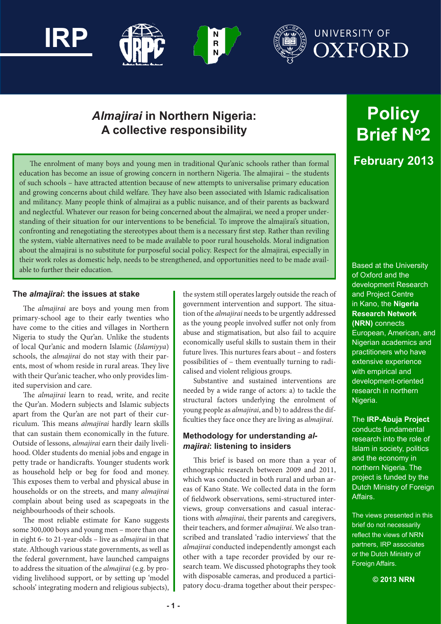

# *Almajirai* **in Northern Nigeria: A collective responsibility**

 $\frac{\mathsf{N}}{\mathsf{R}}$ 

The enrolment of many boys and young men in traditional Qur'anic schools rather than formal education has become an issue of growing concern in northern Nigeria. The almajirai – the students of such schools – have attracted attention because of new attempts to universalise primary education and growing concerns about child welfare. They have also been associated with Islamic radicalisation and militancy. Many people think of almajirai as a public nuisance, and of their parents as backward and neglectful. Whatever our reason for being concerned about the almajirai, we need a proper understanding of their situation for our interventions to be beneficial. To improve the almajirai's situation, confronting and renegotiating the stereotypes about them is a necessary first step. Rather than reviling the system, viable alternatives need to be made available to poor rural households. Moral indignation about the almajirai is no substitute for purposeful social policy. Respect for the almajirai, especially in their work roles as domestic help, needs to be strengthened, and opportunities need to be made available to further their education.

#### **The** *almajirai***: the issues at stake**

**IRP**

The *almajirai* are boys and young men from primary-school age to their early twenties who have come to the cities and villages in Northern Nigeria to study the Qur'an. Unlike the students of local Qur'anic and modern Islamic (*Islamiyya*) schools, the *almajirai* do not stay with their parents, most of whom reside in rural areas. They live with their Qur'anic teacher, who only provides limited supervision and care.

The *almajirai* learn to read, write, and recite the Qur'an. Modern subjects and Islamic subjects apart from the Qur'an are not part of their curriculum. This means *almajirai* hardly learn skills that can sustain them economically in the future. Outside of lessons, *almajirai* earn their daily livelihood. Older students do menial jobs and engage in petty trade or handicrafts. Younger students work as household help or beg for food and money. This exposes them to verbal and physical abuse in households or on the streets, and many *almajirai* complain about being used as scapegoats in the neighbourhoods of their schools.

The most reliable estimate for Kano suggests some 300,000 boys and young men – more than one in eight 6- to 21-year-olds – live as *almajirai* in that state. Although various state governments, as well as the federal government, have launched campaigns to address the situation of the *almajirai* (e.g. by providing livelihood support, or by setting up 'model schools' integrating modern and religious subjects), the system still operates largely outside the reach of government intervention and support. The situation of the *almajirai* needs to be urgently addressed as the young people involved suffer not only from abuse and stigmatisation, but also fail to acquire economically useful skills to sustain them in their future lives. This nurtures fears about – and fosters possibilities of – them eventually turning to radicalised and violent religious groups.

Substantive and sustained interventions are needed by a wide range of actors: a) to tackle the structural factors underlying the enrolment of young people as *almajirai*, and b) to address the difficulties they face once they are living as *almajirai*.

# **Methodology for understanding** *almajirai***: listening to insiders**

This brief is based on more than a year of ethnographic research between 2009 and 2011, which was conducted in both rural and urban areas of Kano State. We collected data in the form of fieldwork observations, semi-structured interviews, group conversations and casual interactions with *almajirai*, their parents and caregivers, their teachers, and former *almajirai*. We also transcribed and translated 'radio interviews' that the *almajirai* conducted independently amongst each other with a tape recorder provided by our research team. We discussed photographs they took with disposable cameras, and produced a participatory docu-drama together about their perspec-

# **Policy Brief No2 February 2013**

Based at the University of Oxford and the development Research and Project Centre in Kano, the **Nigeria Research Network (NRN)** connects European, American, and Nigerian academics and practitioners who have extensive experience with empirical and development-oriented research in northern Nigeria.

# The **IRP-Abuja Project**

conducts fundamental research into the role of Islam in society, politics and the economy in northern Nigeria. The project is funded by the Dutch Ministry of Foreign Affairs.

The views presented in this brief do not necessarily reflect the views of NRN partners, IRP associates or the Dutch Ministry of Foreign Affairs.

**© 2013 NRN**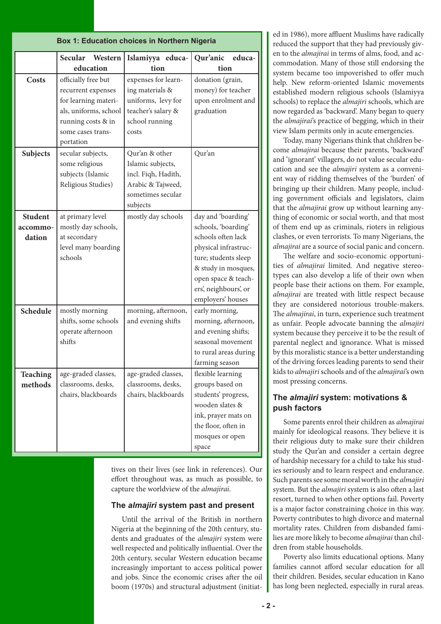| <b>Box 1: Education choices in Northern Nigeria</b> |                                                                                                                                                    |                                                                                                                  |                                                                                                                                                                                                             |
|-----------------------------------------------------|----------------------------------------------------------------------------------------------------------------------------------------------------|------------------------------------------------------------------------------------------------------------------|-------------------------------------------------------------------------------------------------------------------------------------------------------------------------------------------------------------|
|                                                     | Secular<br>Western<br>education                                                                                                                    | Islamiyya educa-<br>tion                                                                                         | Qur'anic<br>educa-<br>tion                                                                                                                                                                                  |
| Costs                                               | officially free but<br>recurrent expenses<br>for learning materi-<br>als, uniforms, school<br>running costs & in<br>some cases trans-<br>portation | expenses for learn-<br>ing materials &<br>uniforms, levy for<br>teacher's salary &<br>school running<br>costs    | donation (grain,<br>money) for teacher<br>upon enrolment and<br>graduation                                                                                                                                  |
| Subjects                                            | secular subjects,<br>some religious<br>subjects (Islamic<br>Religious Studies)                                                                     | Qur'an & other<br>Islamic subjects,<br>incl. Fiqh, Hadith,<br>Arabic & Tajweed,<br>sometimes secular<br>subjects | Qur'an                                                                                                                                                                                                      |
| <b>Student</b><br>accommo-<br>dation                | at primary level<br>mostly day schools,<br>at secondary<br>level many boarding<br>schools                                                          | mostly day schools                                                                                               | day and 'boarding'<br>schools, 'boarding'<br>schools often lack<br>physical infrastruc-<br>ture; students sleep<br>& study in mosques,<br>open space & teach-<br>ers', neighbours', or<br>employers' houses |
| Schedule                                            | mostly morning<br>shifts, some schools<br>operate afternoon<br>shifts                                                                              | morning, afternoon,<br>and evening shifts                                                                        | early morning,<br>morning, afternoon,<br>and evening shifts;<br>seasonal movement<br>to rural areas during<br>farming season                                                                                |
| <b>Teaching</b><br>methods                          | age-graded classes,<br>classrooms, desks,<br>chairs, blackboards                                                                                   | age-graded classes,<br>classrooms, desks,<br>chairs, blackboards                                                 | flexible learning<br>groups based on<br>students' progress,<br>wooden slates &<br>ink, prayer mats on<br>the floor, often in<br>mosques or open<br>space                                                    |

tives on their lives (see link in references). Our effort throughout was, as much as possible, to capture the worldview of the *almajirai*.

# **The** *almajiri* **system past and present**

Until the arrival of the British in northern Nigeria at the beginning of the 20th century, students and graduates of the *almajiri* system were well respected and politically influential. Over the 20th century, secular Western education became increasingly important to access political power and jobs. Since the economic crises after the oil boom (1970s) and structural adjustment (initiated in 1986), more affluent Muslims have radically reduced the support that they had previously given to the *almajirai* in terms of alms, food, and accommodation. Many of those still endorsing the system became too impoverished to offer much help. New reform-oriented Islamic movements established modern religious schools (Islamiyya schools) to replace the *almajiri* schools, which are now regarded as 'backward'. Many began to query the *almajirai*'s practice of begging, which in their view Islam permits only in acute emergencies.

Today, many Nigerians think that children become *almajirai* because their parents, 'backward' and 'ignorant' villagers, do not value secular education and see the *almajiri* system as a convenient way of ridding themselves of the 'burden' of bringing up their children. Many people, including government officials and legislators, claim that the *almajirai* grow up without learning anything of economic or social worth, and that most of them end up as criminals, rioters in religious clashes, or even terrorists. To many Nigerians, the *almajirai* are a source of social panic and concern.

The welfare and socio-economic opportunities of *almajirai* limited. And negative stereotypes can also develop a life of their own when people base their actions on them. For example, *almajirai* are treated with little respect because they are considered notorious trouble-makers. The *almajirai*, in turn, experience such treatment as unfair. People advocate banning the *almajiri* system because they perceive it to be the result of parental neglect and ignorance. What is missed by this moralistic stance is a better understanding of the driving forces leading parents to send their kids to *almajiri* schools and of the *almajirai*'s own most pressing concerns.

# **The** *almajiri* **system: motivations & push factors**

Some parents enrol their children as *almajirai* mainly for ideological reasons. They believe it is their religious duty to make sure their children study the Qur'an and consider a certain degree of hardship necessary for a child to take his studies seriously and to learn respect and endurance. Such parents see some moral worth in the *almajiri* system. But the *almajiri* system is also often a last resort, turned to when other options fail. Poverty is a major factor constraining choice in this way. Poverty contributes to high divorce and maternal mortality rates. Children from disbanded families are more likely to become *almajirai* than children from stable households.

Poverty also limits educational options. Many families cannot afford secular education for all their children. Besides, secular education in Kano has long been neglected, especially in rural areas.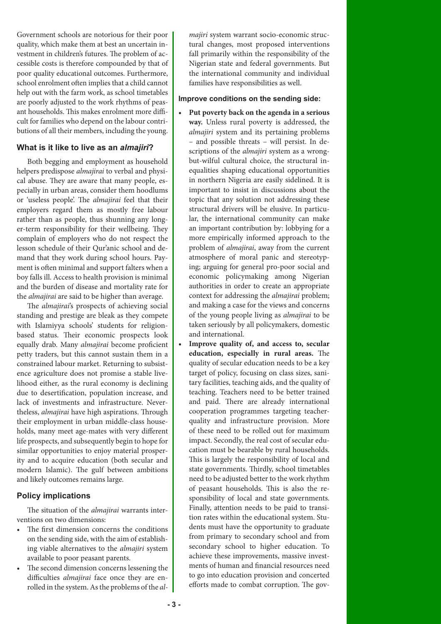Government schools are notorious for their poor quality, which make them at best an uncertain investment in children's futures. The problem of accessible costs is therefore compounded by that of poor quality educational outcomes. Furthermore, school enrolment often implies that a child cannot help out with the farm work, as school timetables are poorly adjusted to the work rhythms of peasant households. This makes enrolment more difficult for families who depend on the labour contributions of all their members, including the young.

#### **What is it like to live as an** *almajiri***?**

Both begging and employment as household helpers predispose *almajirai* to verbal and physical abuse. They are aware that many people, especially in urban areas, consider them hoodlums or 'useless people'. The *almajirai* feel that their employers regard them as mostly free labour rather than as people, thus shunning any longer-term responsibility for their wellbeing. They complain of employers who do not respect the lesson schedule of their Qur'anic school and demand that they work during school hours. Payment is often minimal and support falters when a boy falls ill. Access to health provision is minimal and the burden of disease and mortality rate for the *almajirai* are said to be higher than average.

The *almajirai*'s prospects of achieving social standing and prestige are bleak as they compete with Islamiyya schools' students for religionbased status. Their economic prospects look equally drab. Many *almajirai* become proficient petty traders, but this cannot sustain them in a constrained labour market. Returning to subsistence agriculture does not promise a stable livelihood either, as the rural economy is declining due to desertification, population increase, and lack of investments and infrastructure. Nevertheless, *almajirai* have high aspirations. Through their employment in urban middle-class households, many meet age-mates with very different life prospects, and subsequently begin to hope for similar opportunities to enjoy material prosperity and to acquire education (both secular and modern Islamic). The gulf between ambitions and likely outcomes remains large.

# **Policy implications**

The situation of the *almajirai* warrants interventions on two dimensions:

- The first dimension concerns the conditions on the sending side, with the aim of establishing viable alternatives to the *almajiri* system available to poor peasant parents.
- The second dimension concerns lessening the difficulties *almajirai* face once they are enrolled in the system. As the problems of the *al-*

*majiri* system warrant socio-economic structural changes, most proposed interventions fall primarily within the responsibility of the Nigerian state and federal governments. But the international community and individual families have responsibilities as well.

#### **Improve conditions on the sending side:**

- **• Put poverty back on the agenda in a serious way.** Unless rural poverty is addressed, the *almajiri* system and its pertaining problems – and possible threats – will persist. In descriptions of the *almajiri* system as a wrongbut-wilful cultural choice, the structural inequalities shaping educational opportunities in northern Nigeria are easily sidelined. It is important to insist in discussions about the topic that any solution not addressing these structural drivers will be elusive. In particular, the international community can make an important contribution by: lobbying for a more empirically informed approach to the problem of *almajirai*, away from the current atmosphere of moral panic and stereotyping; arguing for general pro-poor social and economic policymaking among Nigerian authorities in order to create an appropriate context for addressing the *almajirai* problem; and making a case for the views and concerns of the young people living as *almajirai* to be taken seriously by all policymakers, domestic and international.
- **• Improve quality of, and access to, secular education, especially in rural areas.** The quality of secular education needs to be a key target of policy, focusing on class sizes, sanitary facilities, teaching aids, and the quality of teaching. Teachers need to be better trained and paid. There are already international cooperation programmes targeting teacherquality and infrastructure provision. More of these need to be rolled out for maximum impact. Secondly, the real cost of secular education must be bearable by rural households. This is largely the responsibility of local and state governments. Thirdly, school timetables need to be adjusted better to the work rhythm of peasant households. This is also the responsibility of local and state governments. Finally, attention needs to be paid to transition rates within the educational system. Students must have the opportunity to graduate from primary to secondary school and from secondary school to higher education. To achieve these improvements, massive investments of human and financial resources need to go into education provision and concerted efforts made to combat corruption. The gov-